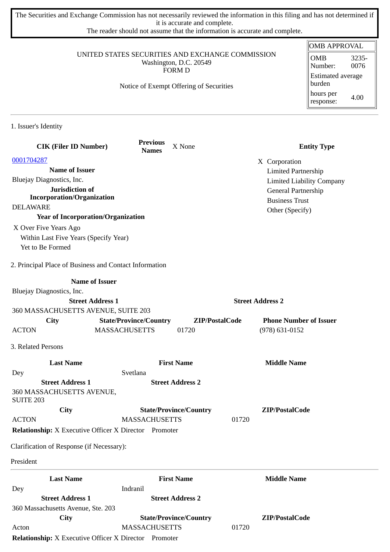The Securities and Exchange Commission has not necessarily reviewed the information in this filing and has not determined if it is accurate and complete.

The reader should not assume that the information is accurate and complete.

## UNITED STATES SECURITIES AND EXCHANGE COMMISSION Washington, D.C. 20549 FORM D

Notice of Exempt Offering of Securities

| <b>OMB APPROVAL</b>                |       |  |  |  |
|------------------------------------|-------|--|--|--|
| OMB                                | 3235- |  |  |  |
| Number:                            | 0076  |  |  |  |
| <b>Estimated average</b><br>burden |       |  |  |  |
| hours per<br>response:             | 4.00  |  |  |  |

1. Issuer's Identity

| <b>CIK (Filer ID Number)</b>                           | <b>Previous</b><br>X None<br><b>Names</b>                    |                | <b>Entity Type</b>               |
|--------------------------------------------------------|--------------------------------------------------------------|----------------|----------------------------------|
| 0001704287                                             |                                                              |                | X Corporation                    |
| <b>Name of Issuer</b>                                  |                                                              |                | <b>Limited Partnership</b>       |
| Bluejay Diagnostics, Inc.                              |                                                              |                | <b>Limited Liability Company</b> |
| Jurisdiction of                                        |                                                              |                | General Partnership              |
| <b>Incorporation/Organization</b>                      |                                                              |                | <b>Business Trust</b>            |
| <b>DELAWARE</b>                                        |                                                              |                | Other (Specify)                  |
| <b>Year of Incorporation/Organization</b>              |                                                              |                |                                  |
| X Over Five Years Ago                                  |                                                              |                |                                  |
| Within Last Five Years (Specify Year)                  |                                                              |                |                                  |
| Yet to Be Formed                                       |                                                              |                |                                  |
| 2. Principal Place of Business and Contact Information |                                                              |                |                                  |
| <b>Name of Issuer</b>                                  |                                                              |                |                                  |
| Bluejay Diagnostics, Inc.                              |                                                              |                |                                  |
| <b>Street Address 1</b>                                |                                                              |                | <b>Street Address 2</b>          |
| 360 MASSACHUSETTS AVENUE, SUITE 203                    |                                                              |                |                                  |
| <b>City</b>                                            | <b>State/Province/Country</b>                                | ZIP/PostalCode | <b>Phone Number of Issuer</b>    |
| <b>ACTON</b>                                           | <b>MASSACHUSETTS</b><br>01720                                |                | $(978) 631 - 0152$               |
| 3. Related Persons                                     |                                                              |                |                                  |
| <b>Last Name</b>                                       | <b>First Name</b>                                            |                | <b>Middle Name</b>               |
| Dey                                                    | Svetlana                                                     |                |                                  |
| <b>Street Address 1</b>                                | <b>Street Address 2</b>                                      |                |                                  |
| 360 MASSACHUSETTS AVENUE,<br><b>SUITE 203</b>          |                                                              |                |                                  |
| City                                                   | <b>State/Province/Country</b>                                |                | ZIP/PostalCode                   |
| <b>ACTON</b>                                           | <b>MASSACHUSETTS</b>                                         | 01720          |                                  |
|                                                        | <b>Relationship:</b> X Executive Officer X Director Promoter |                |                                  |
| Clarification of Response (if Necessary):              |                                                              |                |                                  |
| President                                              |                                                              |                |                                  |
| <b>Last Name</b>                                       | <b>First Name</b>                                            |                | <b>Middle Name</b>               |
| Dey                                                    | Indranil                                                     |                |                                  |
| <b>Street Address 1</b>                                | <b>Street Address 2</b>                                      |                |                                  |
| 360 Massachusetts Avenue, Ste. 203                     |                                                              |                |                                  |
| City                                                   | <b>State/Province/Country</b>                                |                | ZIP/PostalCode                   |
| Acton                                                  | <b>MASSACHUSETTS</b>                                         | 01720          |                                  |

**Relationship:** X Executive Officer X Director Promoter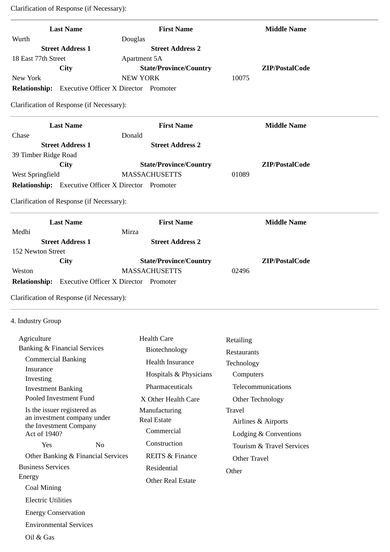| <b>Last Name</b>                                           | <b>First Name</b>             | <b>Middle Name</b>        |
|------------------------------------------------------------|-------------------------------|---------------------------|
| Wurth                                                      | Douglas                       |                           |
| <b>Street Address 1</b>                                    | <b>Street Address 2</b>       |                           |
| 18 East 77th Street                                        | <b>Apartment 5A</b>           |                           |
| City                                                       | <b>State/Province/Country</b> | ZIP/PostalCode            |
| New York                                                   | <b>NEW YORK</b>               | 10075                     |
| <b>Relationship:</b> Executive Officer X Director Promoter |                               |                           |
| Clarification of Response (if Necessary):                  |                               |                           |
| <b>Last Name</b>                                           | <b>First Name</b>             | <b>Middle Name</b>        |
| Chase                                                      | Donald                        |                           |
| <b>Street Address 1</b>                                    | <b>Street Address 2</b>       |                           |
| 39 Timber Ridge Road                                       |                               |                           |
| <b>City</b>                                                | <b>State/Province/Country</b> | ZIP/PostalCode            |
| West Springfield                                           | <b>MASSACHUSETTS</b>          | 01089                     |
| Relationship: Executive Officer X Director Promoter        |                               |                           |
| Clarification of Response (if Necessary):                  |                               |                           |
| <b>Last Name</b>                                           | <b>First Name</b>             | <b>Middle Name</b>        |
| Medhi                                                      | Mirza                         |                           |
| <b>Street Address 1</b>                                    | <b>Street Address 2</b>       |                           |
| 152 Newton Street                                          |                               |                           |
| <b>City</b>                                                | <b>State/Province/Country</b> | ZIP/PostalCode            |
| Weston                                                     | <b>MASSACHUSETTS</b>          | 02496                     |
| <b>Relationship:</b> Executive Officer X Director Promoter |                               |                           |
| Clarification of Response (if Necessary):                  |                               |                           |
| 4. Industry Group                                          |                               |                           |
| Agriculture                                                | <b>Health Care</b>            | Retailing                 |
| <b>Banking &amp; Financial Services</b>                    | Biotechnology                 |                           |
| <b>Commercial Banking</b>                                  |                               | Restaurants               |
| Insurance                                                  | Health Insurance              | Technology                |
| Investing                                                  | Hospitals & Physicians        | Computers                 |
| <b>Investment Banking</b>                                  | Pharmaceuticals               | Telecommunications        |
| Pooled Investment Fund                                     | X Other Health Care           | Other Technology          |
| Is the issuer registered as                                | Manufacturing                 | Travel                    |
| an investment company under                                | <b>Real Estate</b>            |                           |
| the Investment Company                                     |                               | Airlines & Airports       |
| Act of 1940?                                               | Commercial                    | Lodging & Conventions     |
| Yes<br>N <sub>o</sub>                                      | Construction                  | Tourism & Travel Services |
| Other Banking & Financial Services                         | <b>REITS &amp; Finance</b>    | Other Travel              |
| <b>Business Services</b>                                   | Residential                   | Other                     |
| Energy                                                     | <b>Other Real Estate</b>      |                           |
| <b>Coal Mining</b>                                         |                               |                           |
| <b>Electric Utilities</b>                                  |                               |                           |
|                                                            |                               |                           |
| <b>Energy Conservation</b>                                 |                               |                           |
| <b>Environmental Services</b>                              |                               |                           |
| Oil & Gas                                                  |                               |                           |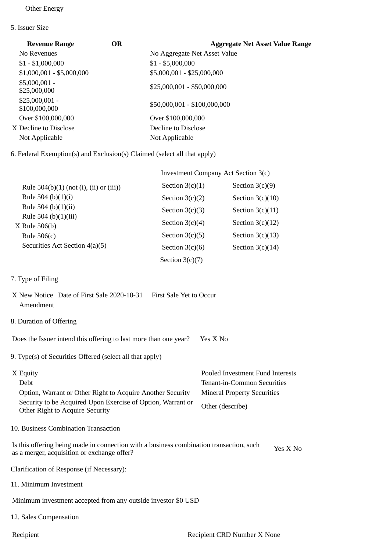## Other Energy

5. Issuer Size

| <b>Revenue Range</b>             | OR | <b>Aggregate Net Asset Value Range</b> |
|----------------------------------|----|----------------------------------------|
| No Revenues                      |    | No Aggregate Net Asset Value           |
| $$1 - $1,000,000$                |    | $$1 - $5,000,000$                      |
| $$1,000,001 - $5,000,000$        |    | $$5,000,001 - $25,000,000$             |
| $$5,000,001 -$<br>\$25,000,000   |    | $$25,000,001 - $50,000,000$            |
| $$25,000,001 -$<br>\$100,000,000 |    | \$50,000,001 - \$100,000,000           |
| Over \$100,000,000               |    | Over \$100,000,000                     |
| X Decline to Disclose            |    | Decline to Disclose                    |
| Not Applicable                   |    | Not Applicable                         |
|                                  |    |                                        |

6. Federal Exemption(s) and Exclusion(s) Claimed (select all that apply)

|                                            |                   | Investment Company Act Section 3(c) |  |  |
|--------------------------------------------|-------------------|-------------------------------------|--|--|
| Rule $504(b)(1)$ (not (i), (ii) or (iii))  | Section $3(c)(1)$ | Section $3(c)(9)$                   |  |  |
| Rule 504 (b) $(1)(i)$                      | Section $3(c)(2)$ | Section $3(c)(10)$                  |  |  |
| Rule 504 (b) $(1)(ii)$                     | Section $3(c)(3)$ | Section $3(c)(11)$                  |  |  |
| Rule 504 (b) $(1)(iii)$<br>$X$ Rule 506(b) | Section $3(c)(4)$ | Section $3(c)(12)$                  |  |  |
| Rule $506(c)$                              | Section $3(c)(5)$ | Section $3(c)(13)$                  |  |  |
| Securities Act Section 4(a)(5)             | Section $3(c)(6)$ | Section $3(c)(14)$                  |  |  |
|                                            | Section $3(c)(7)$ |                                     |  |  |

7. Type of Filing

|           | X New Notice Date of First Sale 2020-10-31 First Sale Yet to Occur |  |
|-----------|--------------------------------------------------------------------|--|
| Amendment |                                                                    |  |

8. Duration of Offering

Does the Issuer intend this offering to last more than one year? Yes X No

9. Type(s) of Securities Offered (select all that apply)

| X Equity                                                                                       | Pooled Investment Fund Interests   |
|------------------------------------------------------------------------------------------------|------------------------------------|
| Debt                                                                                           | Tenant-in-Common Securities        |
| Option, Warrant or Other Right to Acquire Another Security                                     | <b>Mineral Property Securities</b> |
| Security to be Acquired Upon Exercise of Option, Warrant or<br>Other Right to Acquire Security | Other (describe)                   |

10. Business Combination Transaction

Is this offering being made in connection with a business combination transaction, such is this oriering being made in connection with a business combination transaction, such Yes X No<br>as a merger, acquisition or exchange offer?

Clarification of Response (if Necessary):

11. Minimum Investment

Minimum investment accepted from any outside investor \$0 USD

12. Sales Compensation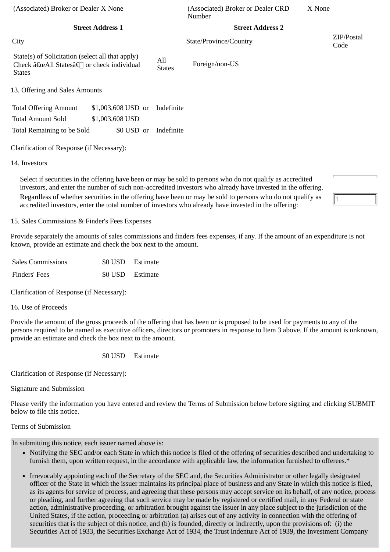| (Associated) Broker or Dealer X None                                                                          |                      | (Associated) Broker or Dealer CRD<br>Number | X None             |
|---------------------------------------------------------------------------------------------------------------|----------------------|---------------------------------------------|--------------------|
| <b>Street Address 1</b>                                                                                       |                      | <b>Street Address 2</b>                     |                    |
| City                                                                                                          |                      | State/Province/Country                      | ZIP/Postal<br>Code |
| State(s) of Solicitation (select all that apply)<br>Check "All Statesâ€∏ or check individual<br><b>States</b> | All<br><b>States</b> | Foreign/non-US                              |                    |
| 13. Offering and Sales Amounts                                                                                |                      |                                             |                    |
| \$1,003,608 USD or<br><b>Total Offering Amount</b>                                                            | Indefinite           |                                             |                    |
| <b>Total Amount Sold</b><br>\$1,003,608 USD                                                                   |                      |                                             |                    |
| \$0 USD or<br>Total Remaining to be Sold                                                                      | Indefinite           |                                             |                    |
| Clarification of Response (if Necessary):                                                                     |                      |                                             |                    |
| 14. Investors                                                                                                 |                      |                                             |                    |

Select if securities in the offering have been or may be sold to persons who do not qualify as accredited investors, and enter the number of such non-accredited investors who already have invested in the offering. Regardless of whether securities in the offering have been or may be sold to persons who do not qualify as accredited investors, enter the total number of investors who already have invested in the offering:

15. Sales Commissions & Finder's Fees Expenses

Provide separately the amounts of sales commissions and finders fees expenses, if any. If the amount of an expenditure is not known, provide an estimate and check the box next to the amount.

1

| <b>Sales Commissions</b> | \$0 USD Estimate |
|--------------------------|------------------|
| Finders' Fees            | \$0 USD Estimate |

Clarification of Response (if Necessary):

## 16. Use of Proceeds

Provide the amount of the gross proceeds of the offering that has been or is proposed to be used for payments to any of the persons required to be named as executive officers, directors or promoters in response to Item 3 above. If the amount is unknown, provide an estimate and check the box next to the amount.

\$0 USD Estimate

Clarification of Response (if Necessary):

Signature and Submission

Please verify the information you have entered and review the Terms of Submission below before signing and clicking SUBMIT below to file this notice.

## Terms of Submission

In submitting this notice, each issuer named above is:

- Notifying the SEC and/or each State in which this notice is filed of the offering of securities described and undertaking to furnish them, upon written request, in the accordance with applicable law, the information furnished to offerees.\*
- Irrevocably appointing each of the Secretary of the SEC and, the Securities Administrator or other legally designated officer of the State in which the issuer maintains its principal place of business and any State in which this notice is filed, as its agents for service of process, and agreeing that these persons may accept service on its behalf, of any notice, process or pleading, and further agreeing that such service may be made by registered or certified mail, in any Federal or state action, administrative proceeding, or arbitration brought against the issuer in any place subject to the jurisdiction of the United States, if the action, proceeding or arbitration (a) arises out of any activity in connection with the offering of securities that is the subject of this notice, and (b) is founded, directly or indirectly, upon the provisions of: (i) the Securities Act of 1933, the Securities Exchange Act of 1934, the Trust Indenture Act of 1939, the Investment Company